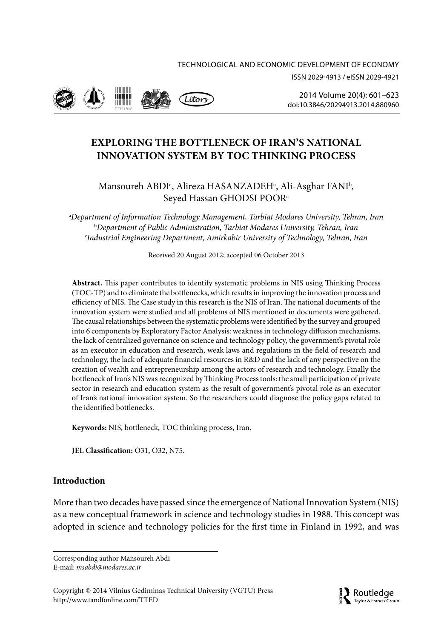ISSN 2029-4913 / eISSN 2029-4921



2014 Volume 20(4): 601–623 [doi:10.3846/20294913.2014.880960](http://dx.doi.org/10.3846/20294913.2014.880960)

# **EXPLORING THE BOTTLENECK OF IRAN'S NATIONAL INNOVATION SYSTEM BY TOC THINKING PROCESS**

Mansoureh ABDIª, Alireza HASANZADEHª, Ali-Asghar FANI<sup>b</sup>, Seyed Hassan GHODSI POOR<sup>c</sup>

a *Department of Information Technology Management, Tarbiat Modares University, Tehran, Iran* b *Department of Public Administration, Tarbiat Modares University, Tehran, Iran* c *Industrial Engineering Department, Amirkabir University of Technology, Tehran, Iran*

Received 20 August 2012; accepted 06 October 2013

**Abstract.** This paper contributes to identify systematic problems in NIS using Thinking Process (TOC-TP) and to eliminate the bottlenecks, which results in improving the innovation process and efficiency of NIS. The Case study in this research is the NIS of Iran. The national documents of the innovation system were studied and all problems of NIS mentioned in documents were gathered. The causal relationships between the systematic problems were identified by the survey and grouped into 6 components by Exploratory Factor Analysis: weakness in technology diffusion mechanisms, the lack of centralized governance on science and technology policy, the government's pivotal role as an executor in education and research, weak laws and regulations in the field of research and technology, the lack of adequate financial resources in R&D and the lack of any perspective on the creation of wealth and entrepreneurship among the actors of research and technology. Finally the bottleneck of Iran's NIS was recognized by Thinking Process tools: the small participation of private sector in research and education system as the result of government's pivotal role as an executor of Iran's national innovation system. So the researchers could diagnose the policy gaps related to the identified bottlenecks.

**Keywords:** NIS, bottleneck, TOC thinking process, Iran.

**JEL Classification:** O31, O32, N75.

## **Introduction**

More than two decades have passed since the emergence of National Innovation System (NIS) as a new conceptual framework in science and technology studies in 1988. This concept was adopted in science and technology policies for the first time in Finland in 1992, and was

Corresponding author Mansoureh Abdi E-mail: *msabdi@modares.ac.ir*

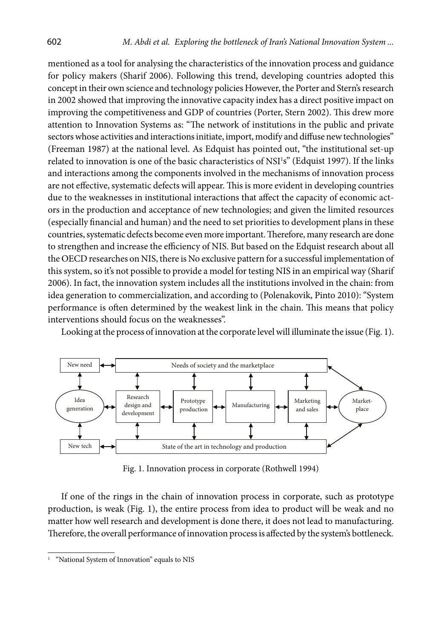mentioned as a tool for analysing the characteristics of the innovation process and guidance for policy makers (Sharif 2006). Following this trend, developing countries adopted this concept in their own science and technology policies However, the Porter and Stern's research in 2002 showed that improving the innovative capacity index has a direct positive impact on improving the competitiveness and GDP of countries (Porter, Stern 2002). This drew more attention to Innovation Systems as: "The network of institutions in the public and private sectors whose activities and interactions initiate, import, modify and diffuse new technologies" (Freeman 1987) at the national level. As Edquist has pointed out, "the institutional set-up related to innovation is one of the basic characteristics of NSI<sup>1</sup>s" (Edquist 1997). If the links and interactions among the components involved in the mechanisms of innovation process are not effective, systematic defects will appear. This is more evident in developing countries due to the weaknesses in institutional interactions that affect the capacity of economic actors in the production and acceptance of new technologies; and given the limited resources (especially financial and human) and the need to set priorities to development plans in these countries, systematic defects become even more important. Therefore, many research are done to strengthen and increase the efficiency of NIS. But based on the Edquist research about all the OECD researches on NIS, there is No exclusive pattern for a successful implementation of this system, so it's not possible to provide a model for testing NIS in an empirical way (Sharif 2006). In fact, the innovation system includes all the institutions involved in the chain: from idea generation to commercialization, and according to (Polenakovik, Pinto 2010): "System performance is often determined by the weakest link in the chain. This means that policy interventions should focus on the weaknesses".

Looking at the process of innovation at the corporate level will illuminate the issue (Fig. 1).



Fig. 1. Innovation process in corporate (Rothwell 1994)

If one of the rings in the chain of innovation process in corporate, such as prototype production, is weak (Fig. 1), the entire process from idea to product will be weak and no matter how well research and development is done there, it does not lead to manufacturing. Therefore, the overall performance of innovation process is affected by the system's bottleneck.

<sup>&</sup>quot;National System of Innovation" equals to NIS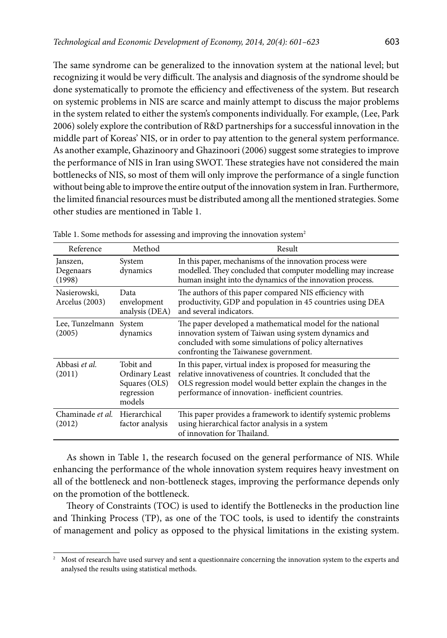The same syndrome can be generalized to the innovation system at the national level; but recognizing it would be very difficult. The analysis and diagnosis of the syndrome should be done systematically to promote the efficiency and effectiveness of the system. But research on systemic problems in NIS are scarce and mainly attempt to discuss the major problems in the system related to either the system's components individually. For example, (Lee, Park 2006) solely explore the contribution of R&D partnerships for a successful innovation in the middle part of Koreas' NIS, or in order to pay attention to the general system performance. As another example, Ghazinoory and Ghazinoori (2006) suggest some strategies to improve the performance of NIS in Iran using SWOT. These strategies have not considered the main bottlenecks of NIS, so most of them will only improve the performance of a single function without being able to improve the entire output of the innovation system in Iran. Furthermore, the limited financial resources must be distributed among all the mentioned strategies. Some other studies are mentioned in Table 1.

| Reference                       | Method                                                               | Result                                                                                                                                                                                                                                         |  |
|---------------------------------|----------------------------------------------------------------------|------------------------------------------------------------------------------------------------------------------------------------------------------------------------------------------------------------------------------------------------|--|
| Janszen,<br>Degenaars<br>(1998) | System<br>dynamics                                                   | In this paper, mechanisms of the innovation process were<br>modelled. They concluded that computer modelling may increase<br>human insight into the dynamics of the innovation process.                                                        |  |
| Nasierowski.<br>Arcelus (2003)  | Data<br>envelopment<br>analysis (DEA)                                | The authors of this paper compared NIS efficiency with<br>productivity, GDP and population in 45 countries using DEA<br>and several indicators.                                                                                                |  |
| Lee, Tunzelmann<br>(2005)       | System<br>dynamics                                                   | The paper developed a mathematical model for the national<br>innovation system of Taiwan using system dynamics and<br>concluded with some simulations of policy alternatives<br>confronting the Taiwanese government.                          |  |
| Abbasi et al.<br>(2011)         | Tobit and<br>Ordinary Least<br>Squares (OLS)<br>regression<br>models | In this paper, virtual index is proposed for measuring the<br>relative innovativeness of countries. It concluded that the<br>OLS regression model would better explain the changes in the<br>performance of innovation- inefficient countries. |  |
| Chaminade et al.<br>(2012)      | Hierarchical<br>factor analysis                                      | This paper provides a framework to identify systemic problems<br>using hierarchical factor analysis in a system<br>of innovation for Thailand.                                                                                                 |  |

Table 1. Some methods for assessing and improving the innovation system<sup>2</sup>

As shown in Table 1, the research focused on the general performance of NIS. While enhancing the performance of the whole innovation system requires heavy investment on all of the bottleneck and non-bottleneck stages, improving the performance depends only on the promotion of the bottleneck.

Theory of Constraints (TOC) is used to identify the Bottlenecks in the production line and Thinking Process (TP), as one of the TOC tools, is used to identify the constraints of management and policy as opposed to the physical limitations in the existing system.

<sup>&</sup>lt;sup>2</sup> Most of research have used survey and sent a questionnaire concerning the innovation system to the experts and analysed the results using statistical methods.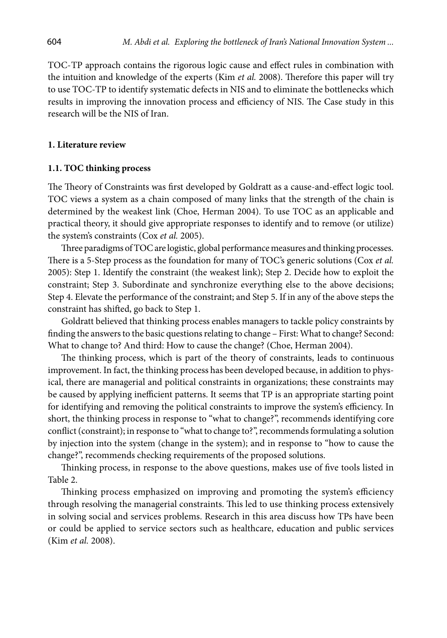TOC-TP approach contains the rigorous logic cause and effect rules in combination with the intuition and knowledge of the experts (Kim *et al.* 2008). Therefore this paper will try to use TOC-TP to identify systematic defects in NIS and to eliminate the bottlenecks which results in improving the innovation process and efficiency of NIS. The Case study in this research will be the NIS of Iran.

#### **1. Literature review**

#### **1.1. TOC thinking process**

The Theory of Constraints was first developed by Goldratt as a cause-and-effect logic tool. TOC views a system as a chain composed of many links that the strength of the chain is determined by the weakest link (Choe, Herman 2004). To use TOC as an applicable and practical theory, it should give appropriate responses to identify and to remove (or utilize) the system's constraints (Cox *et al.* 2005).

Three paradigms of TOC are logistic, global performance measures and thinking processes. There is a 5-Step process as the foundation for many of TOC's generic solutions (Cox *et al.* 2005): Step 1. Identify the constraint (the weakest link); Step 2. Decide how to exploit the constraint; Step 3. Subordinate and synchronize everything else to the above decisions; Step 4. Elevate the performance of the constraint; and Step 5. If in any of the above steps the constraint has shifted, go back to Step 1.

Goldratt believed that thinking process enables managers to tackle policy constraints by finding the answers to the basic questions relating to change – First: What to change? Second: What to change to? And third: How to cause the change? (Choe, Herman 2004).

The thinking process, which is part of the theory of constraints, leads to continuous improvement. In fact, the thinking process has been developed because, in addition to physical, there are managerial and political constraints in organizations; these constraints may be caused by applying inefficient patterns. It seems that TP is an appropriate starting point for identifying and removing the political constraints to improve the system's efficiency. In short, the thinking process in response to "what to change?", recommends identifying core conflict (constraint); in response to "what to change to?", recommends formulating a solution by injection into the system (change in the system); and in response to "how to cause the change?", recommends checking requirements of the proposed solutions.

Thinking process, in response to the above questions, makes use of five tools listed in Table 2.

Thinking process emphasized on improving and promoting the system's efficiency through resolving the managerial constraints. This led to use thinking process extensively in solving social and services problems. Research in this area discuss how TPs have been or could be applied to service sectors such as healthcare, education and public services (Kim *et al.* 2008).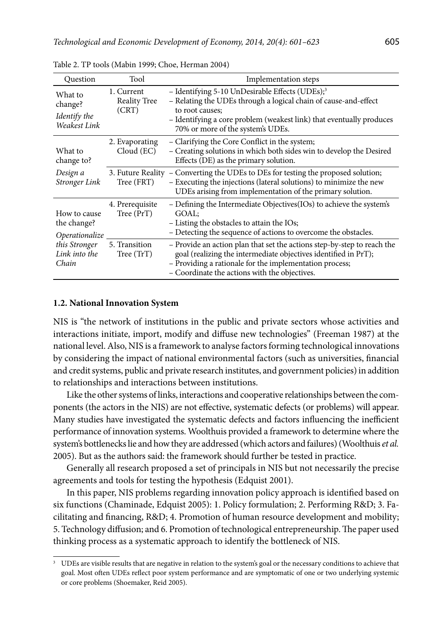| Question                                           | Tool                                       | Implementation steps                                                                                                                                                                                                                                           |
|----------------------------------------------------|--------------------------------------------|----------------------------------------------------------------------------------------------------------------------------------------------------------------------------------------------------------------------------------------------------------------|
| What to<br>change?<br>Identify the<br>Weakest Link | 1. Current<br><b>Reality Tree</b><br>(CRT) | - Identifying 5-10 UnDesirable Effects (UDEs); <sup>3</sup><br>- Relating the UDEs through a logical chain of cause-and-effect<br>to root causes:<br>- Identifying a core problem (weakest link) that eventually produces<br>70% or more of the system's UDEs. |
| What to<br>change to?                              | 2. Evaporating<br>Cloud (EC)               | - Clarifying the Core Conflict in the system;<br>- Creating solutions in which both sides win to develop the Desired<br>Effects (DE) as the primary solution.                                                                                                  |
| Design a<br>Stronger Link                          | Tree (FRT)                                 | 3. Future Reality - Converting the UDEs to DEs for testing the proposed solution;<br>- Executing the injections (lateral solutions) to minimize the new<br>UDEs arising from implementation of the primary solution.                                           |
| How to cause<br>the change?<br>Operationalize      | 4. Prerequisite<br>Tree (PrT)              | - Defining the Intermediate Objectives (IOs) to achieve the system's<br>GOAL:<br>$-$ Listing the obstacles to attain the IOs;<br>- Detecting the sequence of actions to overcome the obstacles.                                                                |
| this Stronger<br>Link into the<br>Chain            | 5. Transition<br>Tree (TrT)                | - Provide an action plan that set the actions step-by-step to reach the<br>goal (realizing the intermediate objectives identified in PrT);<br>- Providing a rationale for the implementation process;<br>- Coordinate the actions with the objectives.         |

Table 2. TP tools (Mabin 1999; Choe, Herman 2004)

#### **1.2. National Innovation System**

NIS is "the network of institutions in the public and private sectors whose activities and interactions initiate, import, modify and diffuse new technologies" (Freeman 1987) at the national level. Also, NIS is a framework to analyse factors forming technological innovations by considering the impact of national environmental factors (such as universities, financial and credit systems, public and private research institutes, and government policies) in addition to relationships and interactions between institutions.

Like the other systems of links, interactions and cooperative relationships between the components (the actors in the NIS) are not effective, systematic defects (or problems) will appear. Many studies have investigated the systematic defects and factors influencing the inefficient performance of innovation systems. Woolthuis provided a framework to determine where the system's bottlenecks lie and how they are addressed (which actors and failures) (Woolthuis *et al.* 2005). But as the authors said: the framework should further be tested in practice.

Generally all research proposed a set of principals in NIS but not necessarily the precise agreements and tools for testing the hypothesis (Edquist 2001).

In this paper, NIS problems regarding innovation policy approach is identified based on six functions (Chaminade, Edquist 2005): 1. Policy formulation; 2. Performing R&D; 3. Facilitating and financing, R&D; 4. Promotion of human resource development and mobility; 5. Technology diffusion; and 6. Promotion of technological entrepreneurship. The paper used thinking process as a systematic approach to identify the bottleneck of NIS.

<sup>&</sup>lt;sup>3</sup> UDEs are visible results that are negative in relation to the system's goal or the necessary conditions to achieve that goal. Most often UDEs reflect poor system performance and are symptomatic of one or two underlying systemic or core problems (Shoemaker, Reid 2005).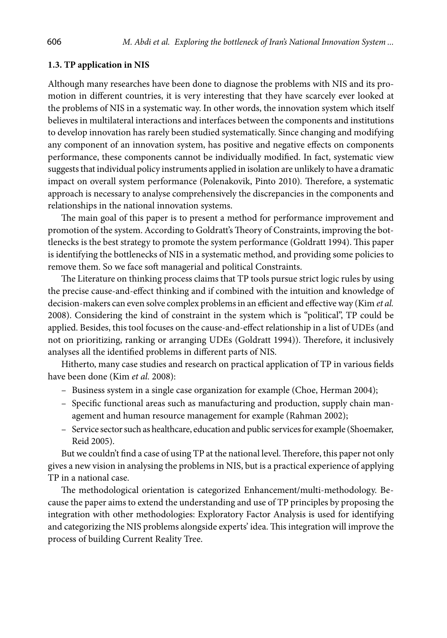### **1.3. TP application in NIS**

Although many researches have been done to diagnose the problems with NIS and its promotion in different countries, it is very interesting that they have scarcely ever looked at the problems of NIS in a systematic way. In other words, the innovation system which itself believes in multilateral interactions and interfaces between the components and institutions to develop innovation has rarely been studied systematically. Since changing and modifying any component of an innovation system, has positive and negative effects on components performance, these components cannot be individually modified. In fact, systematic view suggests that individual policy instruments applied in isolation are unlikely to have a dramatic impact on overall system performance (Polenakovik, Pinto 2010)*.* Therefore, a systematic approach is necessary to analyse comprehensively the discrepancies in the components and relationships in the national innovation systems.

The main goal of this paper is to present a method for performance improvement and promotion of the system. According to Goldratt's Theory of Constraints, improving the bottlenecks is the best strategy to promote the system performance (Goldratt 1994). This paper is identifying the bottlenecks of NIS in a systematic method, and providing some policies to remove them. So we face soft managerial and political Constraints.

The Literature on thinking process claims that TP tools pursue strict logic rules by using the precise cause-and-effect thinking and if combined with the intuition and knowledge of decision-makers can even solve complex problems in an efficient and effective way (Kim *et al.* 2008). Considering the kind of constraint in the system which is "political", TP could be applied. Besides, this tool focuses on the cause-and-effect relationship in a list of UDEs (and not on prioritizing, ranking or arranging UDEs ([Goldratt](http://www.amazon.com/Eliyahu-M.-Goldratt/e/B000APWH4C/ref=ntt_athr_dp_pel_1) 1994)). Therefore, it inclusively analyses all the identified problems in different parts of NIS.

Hitherto, many case studies and research on practical application of TP in various fields have been done (Kim *et al.* 2008):

- Business system in a single case organization for example (Choe, Herman 2004);
- Specific functional areas such as manufacturing and production, supply chain management and human resource management for example (Rahman 2002);
- Service sector such as healthcare, education and public services for example (Shoemaker, Reid 2005).

But we couldn't find a case of using TP at the national level. Therefore, this paper not only gives a new vision in analysing the problems in NIS, but is a practical experience of applying TP in a national case.

The methodological orientation is categorized Enhancement/multi-methodology. Because the paper aims to extend the understanding and use of TP principles by proposing the integration with other methodologies: Exploratory Factor Analysis is used for identifying and categorizing the NIS problems alongside experts' idea. This integration will improve the process of building Current Reality Tree.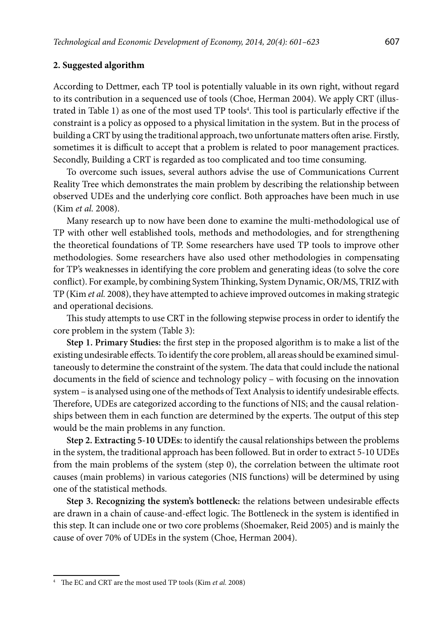### **2. Suggested algorithm**

According to Dettmer, each TP tool is potentially valuable in its own right, without regard to its contribution in a sequenced use of tools (Choe, Herman 2004). We apply CRT (illustrated in Table 1) as one of the most used TP tools<sup>4</sup>. This tool is particularly effective if the constraint is a policy as opposed to a physical limitation in the system. But in the process of building a CRT by using the traditional approach, two unfortunate matters often arise. Firstly, sometimes it is difficult to accept that a problem is related to poor management practices. Secondly, Building a CRT is regarded as too complicated and too time consuming.

To overcome such issues, several authors advise the use of Communications Current Reality Tree which demonstrates the main problem by describing the relationship between observed UDEs and the underlying core conflict. Both approaches have been much in use (Kim *et al.* 2008).

Many research up to now have been done to examine the multi-methodological use of TP with other well established tools, methods and methodologies, and for strengthening the theoretical foundations of TP. Some researchers have used TP tools to improve other methodologies. Some researchers have also used other methodologies in compensating for TP's weaknesses in identifying the core problem and generating ideas (to solve the core conflict). For example, by combining System Thinking, System Dynamic, OR/MS, TRIZ with TP (Kim *et al.* 2008), they have attempted to achieve improved outcomes in making strategic and operational decisions.

This study attempts to use CRT in the following stepwise process in order to identify the core problem in the system (Table 3):

**Step 1. Primary Studies:** the first step in the proposed algorithm is to make a list of the existing undesirable effects. To identify the core problem, all areas should be examined simultaneously to determine the constraint of the system. The data that could include the national documents in the field of science and technology policy – with focusing on the innovation system – is analysed using one of the methods of Text Analysis to identify undesirable effects. Therefore, UDEs are categorized according to the functions of NIS; and the causal relationships between them in each function are determined by the experts. The output of this step would be the main problems in any function.

**Step 2. Extracting 5-10 UDEs:** to identify the causal relationships between the problems in the system, the traditional approach has been followed. But in order to extract 5-10 UDEs from the main problems of the system (step 0), the correlation between the ultimate root causes (main problems) in various categories (NIS functions) will be determined by using one of the statistical methods.

**Step 3. Recognizing the system's bottleneck:** the relations between undesirable effects are drawn in a chain of cause-and-effect logic. The Bottleneck in the system is identified in this step. It can include one or two core problems (Shoemaker, Reid 2005) and is mainly the cause of over 70% of UDEs in the system (Choe, Herman 2004).

<sup>4</sup> The EC and CRT are the most used TP tools (Kim *et al.* 2008)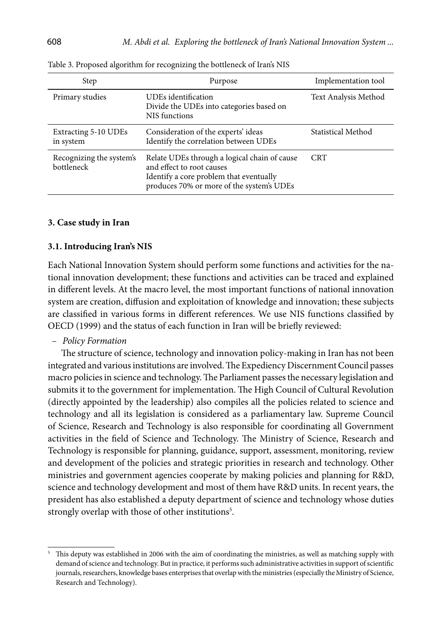| Step                                   | Purpose                                                                                                                                                           | Implementation tool  |
|----------------------------------------|-------------------------------------------------------------------------------------------------------------------------------------------------------------------|----------------------|
| Primary studies                        | <b>UDEs</b> identification<br>Divide the UDEs into categories based on<br>NIS functions                                                                           | Text Analysis Method |
| Extracting 5-10 UDEs<br>in system      | Consideration of the experts' ideas<br>Identify the correlation between UDEs                                                                                      | Statistical Method   |
| Recognizing the system's<br>bottleneck | Relate UDEs through a logical chain of cause<br>and effect to root causes<br>Identify a core problem that eventually<br>produces 70% or more of the system's UDEs | <b>CRT</b>           |

Table 3. Proposed algorithm for recognizing the bottleneck of Iran's NIS

#### **3. Case study in Iran**

#### **3.1. Introducing Iran's NIS**

Each National Innovation System should perform some functions and activities for the national innovation development; these functions and activities can be traced and explained in different levels. At the macro level, the most important functions of national innovation system are creation, diffusion and exploitation of knowledge and innovation; these subjects are classified in various forms in different references. We use NIS functions classified by OECD (1999) and the status of each function in Iran will be briefly reviewed:

### – *Policy Formation*

The structure of science, technology and innovation policy-making in Iran has not been integrated and various institutions are involved. The Expediency Discernment Council passes macro policies in science and technology. The Parliament passes the necessary legislation and submits it to the government for implementation. The High Council of Cultural Revolution (directly appointed by the leadership) also compiles all the policies related to science and technology and all its legislation is considered as a parliamentary law. Supreme Council of Science, Research and Technology is also responsible for coordinating all Government activities in the field of Science and Technology. The Ministry of Science, Research and Technology is responsible for planning, guidance, support, assessment, monitoring, review and development of the policies and strategic priorities in research and technology. Other ministries and government agencies cooperate by making policies and planning for R&D, science and technology development and most of them have R&D units. In recent years, the president has also established a deputy department of science and technology whose duties strongly overlap with those of other institutions<sup>5</sup>.

<sup>&</sup>lt;sup>5</sup> This deputy was established in 2006 with the aim of coordinating the ministries, as well as matching supply with demand of science and technology. But in practice, it performs such administrative activities in support of scientific journals, researchers, knowledge bases enterprises that overlap with the ministries (especially the Ministry of Science, Research and Technology).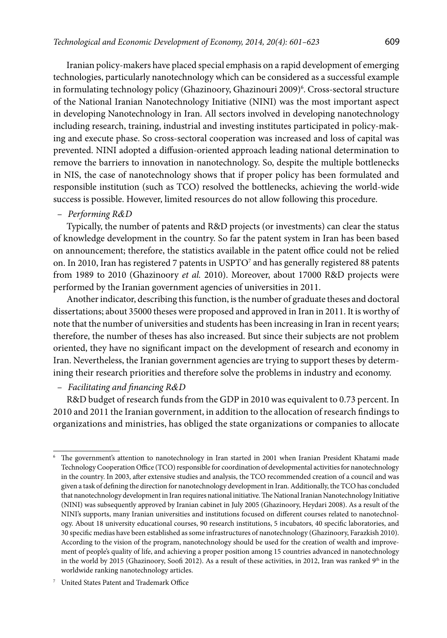Iranian policy-makers have placed special emphasis on a rapid development of emerging technologies, particularly nanotechnology which can be considered as a successful example in formulating technology policy (Ghazinoory, Ghazinouri 2009)<sup>6</sup>. Cross-sectoral structure of the National Iranian Nanotechnology Initiative (NINI) was the most important aspect in developing Nanotechnology in Iran. All sectors involved in developing nanotechnology including research, training, industrial and investing institutes participated in policy-making and execute phase. So cross-sectoral cooperation was increased and loss of capital was prevented. NINI adopted a diffusion-oriented approach leading national determination to remove the barriers to innovation in nanotechnology. So, despite the multiple bottlenecks in NIS, the case of nanotechnology shows that if proper policy has been formulated and responsible institution (such as TCO) resolved the bottlenecks, achieving the world-wide success is possible. However, limited resources do not allow following this procedure.

### – *Performing R&D*

Typically, the number of patents and R&D projects (or investments) can clear the status of knowledge development in the country. So far the patent system in Iran has been based on announcement; therefore, the statistics available in the patent office could not be relied on. In 2010, Iran has registered 7 patents in USPTO<sup>7</sup> and has generally registered 88 patents from 1989 to 2010 (Ghazinoory *et al.* 2010). Moreover, about 17000 R&D projects were performed by the Iranian government agencies of universities in 2011.

Another indicator, describing this function, is the number of graduate theses and doctoral dissertations; about 35000 theses were proposed and approved in Iran in 2011. It is worthy of note that the number of universities and students has been increasing in Iran in recent years; therefore, the number of theses has also increased. But since their subjects are not problem oriented, they have no significant impact on the development of research and economy in Iran. Nevertheless, the Iranian government agencies are trying to support theses by determining their research priorities and therefore solve the problems in industry and economy.

– *Facilitating and financing R&D*

R&D budget of research funds from the GDP in 2010 was equivalent to 0.73 percent. In 2010 and 2011 the Iranian government, in addition to the allocation of research findings to organizations and ministries, has obliged the state organizations or companies to allocate

The government's attention to nanotechnology in Iran started in 2001 when Iranian President Khatami made Technology Cooperation Office (TCO) responsible for coordination of developmental activities for nanotechnology in the country. In 2003, after extensive studies and analysis, the TCO recommended creation of a council and was given a task of defining the direction for nanotechnology development in Iran. Additionally, the TCO has concluded that nanotechnology development in Iran requires national initiative. The National Iranian Nanotechnology Initiative (NINI) was subsequently approved by Iranian cabinet in July 2005 (Ghazinoory, Heydari 2008). As a result of the NINI's supports, many Iranian universities and institutions focused on different courses related to nanotechnology. About 18 university educational courses, 90 research institutions, 5 incubators, 40 specific laboratories, and 30 specific medias have been established as some infrastructures of nanotechnology (Ghazinoory, Farazkish 2010). According to the vision of the program, nanotechnology should be used for the creation of wealth and improvement of people's quality of life, and achieving a proper position among 15 countries advanced in nanotechnology in the world by 2015 (Ghazinoory, Soofi 2012). As a result of these activities, in 2012, Iran was ranked 9<sup>th</sup> in the worldwide ranking nanotechnology articles.

<sup>7</sup> United States Patent and Trademark Office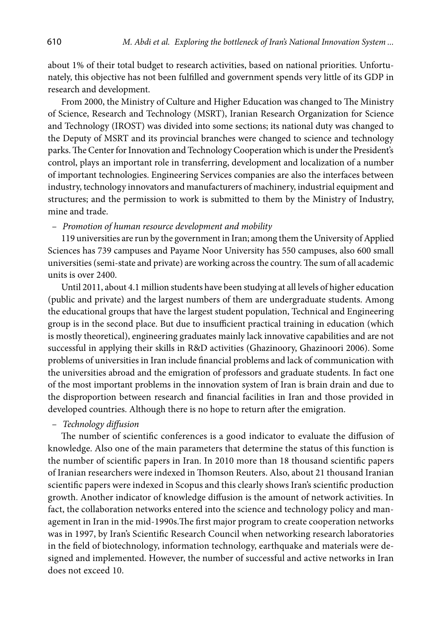about 1% of their total budget to research activities, based on national priorities. Unfortunately, this objective has not been fulfilled and government spends very little of its GDP in research and development.

From 2000, the Ministry of Culture and Higher Education was changed to The Ministry of Science, Research and Technology (MSRT), Iranian Research Organization for Science and Technology (IROST) was divided into some sections; its national duty was changed to the Deputy of MSRT and its provincial branches were changed to science and technology parks. The Center for Innovation and Technology Cooperation which is under the President's control, plays an important role in transferring, development and localization of a number of important technologies. Engineering Services companies are also the interfaces between industry, technology innovators and manufacturers of machinery, industrial equipment and structures; and the permission to work is submitted to them by the Ministry of Industry, mine and trade.

### – *Promotion of human resource development and mobility*

119 universities are run by the government in Iran; among them the University of Applied Sciences has 739 campuses and Payame Noor University has 550 campuses, also 600 small universities (semi-state and private) are working across the country. The sum of all academic units is over 2400.

Until 2011, about 4.1 million students have been studying at all levels of higher education (public and private) and the largest numbers of them are undergraduate students. Among the educational groups that have the largest student population, Technical and Engineering group is in the second place. But due to insufficient practical training in education (which is mostly theoretical), engineering graduates mainly lack innovative capabilities and are not successful in applying their skills in R&D activities (Ghazinoory, Ghazinoori 2006). Some problems of universities in Iran include financial problems and lack of communication with the universities abroad and the emigration of professors and graduate students. In fact one of the most important problems in the innovation system of Iran is brain drain and due to the disproportion between research and financial facilities in Iran and those provided in developed countries. Although there is no hope to return after the emigration.

### – *Technology diffusion*

The number of scientific conferences is a good indicator to evaluate the diffusion of knowledge. Also one of the main parameters that determine the status of this function is the number of scientific papers in Iran. In 2010 more than 18 thousand scientific papers of Iranian researchers were indexed in Thomson Reuters. Also, about 21 thousand Iranian scientific papers were indexed in Scopus and this clearly shows Iran's scientific production growth. Another indicator of knowledge diffusion is the amount of network activities. In fact, the collaboration networks entered into the science and technology policy and management in Iran in the mid-1990s.The first major program to create cooperation networks was in 1997, by Iran's Scientific Research Council when networking research laboratories in the field of biotechnology, information technology, earthquake and materials were designed and implemented. However, the number of successful and active networks in Iran does not exceed 10.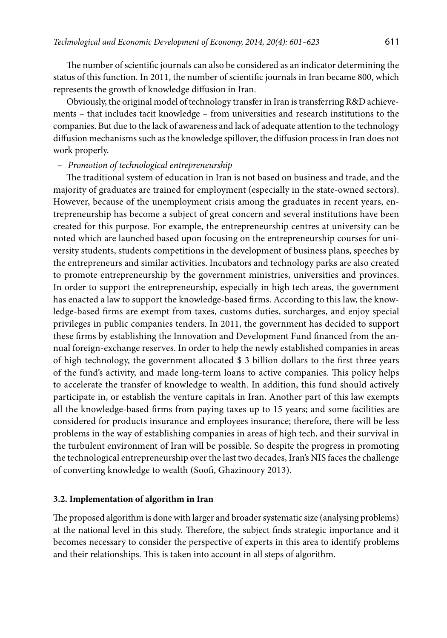The number of scientific journals can also be considered as an indicator determining the status of this function. In 2011, the number of scientific journals in Iran became 800, which represents the growth of knowledge diffusion in Iran.

Obviously, the original model of technology transfer in Iran is transferring R&D achievements – that includes tacit knowledge – from universities and research institutions to the companies. But due to the lack of awareness and lack of adequate attention to the technology diffusion mechanisms such as the knowledge spillover, the diffusion process in Iran does not work properly.

### – *Promotion of technological entrepreneurship*

The traditional system of education in Iran is not based on business and trade, and the majority of graduates are trained for employment (especially in the state-owned sectors). However, because of the unemployment crisis among the graduates in recent years, entrepreneurship has become a subject of great concern and several institutions have been created for this purpose. For example, the entrepreneurship centres at university can be noted which are launched based upon focusing on the entrepreneurship courses for university students, students competitions in the development of business plans, speeches by the entrepreneurs and similar activities. Incubators and technology parks are also created to promote entrepreneurship by the government ministries, universities and provinces. In order to support the entrepreneurship, especially in high tech areas, the government has enacted a law to support the knowledge-based firms. According to this law, the knowledge-based firms are exempt from taxes, customs duties, surcharges, and enjoy special privileges in public companies tenders. In 2011, the government has decided to support these firms by establishing the Innovation and Development Fund financed from the annual foreign-exchange reserves. In order to help the newly established companies in areas of high technology, the government allocated \$ 3 billion dollars to the first three years of the fund's activity, and made long-term loans to active companies. This policy helps to accelerate the transfer of knowledge to wealth. In addition, this fund should actively participate in, or establish the venture capitals in Iran. Another part of this law exempts all the knowledge-based firms from paying taxes up to 15 years; and some facilities are considered for products insurance and employees insurance; therefore, there will be less problems in the way of establishing companies in areas of high tech, and their survival in the turbulent environment of Iran will be possible. So despite the progress in promoting the technological entrepreneurship over the last two decades, Iran's NIS faces the challenge of converting knowledge to wealth (Soofi, Ghazinoory 2013).

### **3.2. Implementation of algorithm in Iran**

The proposed algorithm is done with larger and broader systematic size (analysing problems) at the national level in this study. Therefore, the subject finds strategic importance and it becomes necessary to consider the perspective of experts in this area to identify problems and their relationships. This is taken into account in all steps of algorithm.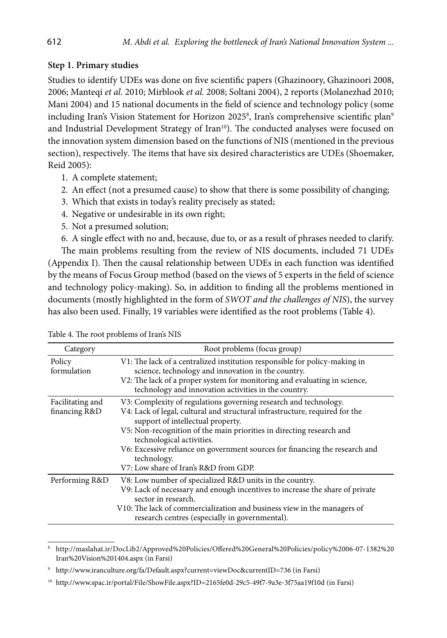## **Step 1. Primary studies**

Studies to identify UDEs was done on five scientific papers (Ghazinoory, Ghazinoori 2008, 2006; Manteqi *et al.* 2010; Mirblook *et al.* 2008; Soltani 2004), 2 reports (Molanezhad 2010; Mani 2004) and 15 national documents in the field of science and technology policy (some including Iran's Vision Statement for Horizon 20258, Iran's comprehensive scientific plan<sup>s</sup> and Industrial Development Strategy of Iran<sup>10</sup>). The conducted analyses were focused on the innovation system dimension based on the functions of NIS (mentioned in the previous section), respectively*.* The items that have six desired characteristics are UDEs (Shoemaker, Reid 2005):

- 1. A complete statement;
- 2. An effect (not a presumed cause) to show that there is some possibility of changing;
- 3. Which that exists in today's reality precisely as stated;
- 4. Negative or undesirable in its own right;
- 5. Not a presumed solution;

6. A single effect with no and, because, due to, or as a result of phrases needed to clarify. The main problems resulting from the review of NIS documents, included 71 UDEs (Appendix I). Then the causal relationship between UDEs in each function was identified by the means of Focus Group method (based on the views of 5 experts in the field of science and technology policy-making). So, in addition to finding all the problems mentioned in documents (mostly highlighted in the form of *SWOT and the challenges of NIS*), the survey has also been used. Finally, 19 variables were identified as the root problems (Table 4).

| Category                          | Root problems (focus group)                                                                                                                                                                                                                                                                                                                                                                                                      |
|-----------------------------------|----------------------------------------------------------------------------------------------------------------------------------------------------------------------------------------------------------------------------------------------------------------------------------------------------------------------------------------------------------------------------------------------------------------------------------|
| Policy<br>formulation             | V1: The lack of a centralized institution responsible for policy-making in<br>science, technology and innovation in the country.<br>V2: The lack of a proper system for monitoring and evaluating in science,<br>technology and innovation activities in the country.                                                                                                                                                            |
| Facilitating and<br>financing R&D | V3: Complexity of regulations governing research and technology.<br>V4: Lack of legal, cultural and structural infrastructure, required for the<br>support of intellectual property.<br>V5: Non-recognition of the main priorities in directing research and<br>technological activities.<br>V6: Excessive reliance on government sources for financing the research and<br>technology.<br>V7: Low share of Iran's R&D from GDP. |
| Performing R&D                    | V8: Low number of specialized R&D units in the country.<br>V9: Lack of necessary and enough incentives to increase the share of private<br>sector in research.<br>V10: The lack of commercialization and business view in the managers of<br>research centres (especially in governmental).                                                                                                                                      |

Table 4. The root problems of Iran's NIS

<sup>8</sup> [http://maslahat.ir/DocLib2/Approved%20Policies/Offered%20General%20Policies/policy%2006-07-1382%20](http://maslahat.ir/DocLib2/Approved Policies/Offered General Policies/policy 06-07-1382 Iran Vision 1404.aspx) [Iran%20Vision%201404.aspx](http://maslahat.ir/DocLib2/Approved Policies/Offered General Policies/policy 06-07-1382 Iran Vision 1404.aspx) (in Farsi)

[http://www.iranculture.org/fa/Default.aspx?current=viewDoc&currentID=736](http://www.iranculture.org/fa/Default.aspx?current=viewDoc¤tID=736) (in Farsi)

<sup>&</sup>lt;sup>10</sup> <http://www.spac.ir/portal/File/ShowFile.aspx?ID=2165fe0d-29c5-49f7-9a3e-3f75aa19f10d>(in Farsi)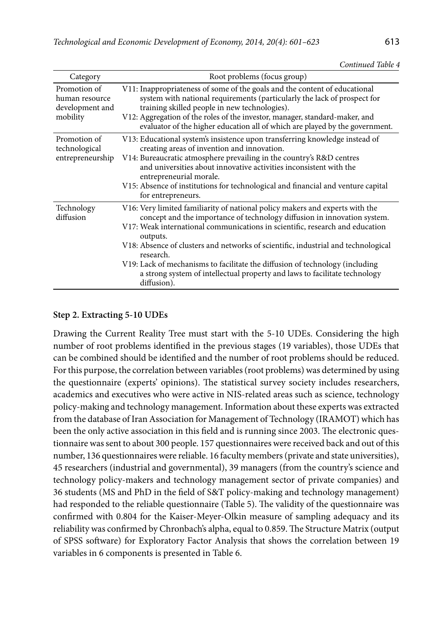| Category                                                      | Root problems (focus group)                                                                                                                                                                                                                                                                                                                                                                                                                                                                                                         |
|---------------------------------------------------------------|-------------------------------------------------------------------------------------------------------------------------------------------------------------------------------------------------------------------------------------------------------------------------------------------------------------------------------------------------------------------------------------------------------------------------------------------------------------------------------------------------------------------------------------|
| Promotion of<br>human resource<br>development and<br>mobility | V11: Inappropriateness of some of the goals and the content of educational<br>system with national requirements (particularly the lack of prospect for<br>training skilled people in new technologies).<br>V12: Aggregation of the roles of the investor, manager, standard-maker, and<br>evaluator of the higher education all of which are played by the government.                                                                                                                                                              |
| Promotion of<br>technological<br>entrepreneurship             | V13: Educational system's insistence upon transferring knowledge instead of<br>creating areas of invention and innovation.<br>V14: Bureaucratic atmosphere prevailing in the country's R&D centres<br>and universities about innovative activities inconsistent with the<br>entrepreneurial morale.<br>V15: Absence of institutions for technological and financial and venture capital<br>for entrepreneurs.                                                                                                                       |
| Technology<br>diffusion                                       | V16: Very limited familiarity of national policy makers and experts with the<br>concept and the importance of technology diffusion in innovation system.<br>V17: Weak international communications in scientific, research and education<br>outputs.<br>V18: Absence of clusters and networks of scientific, industrial and technological<br>research.<br>V19: Lack of mechanisms to facilitate the diffusion of technology (including<br>a strong system of intellectual property and laws to facilitate technology<br>diffusion). |

## **Step 2. Extracting 5-10 UDEs**

Drawing the Current Reality Tree must start with the 5-10 UDEs. Considering the high number of root problems identified in the previous stages (19 variables), those UDEs that can be combined should be identified and the number of root problems should be reduced. For this purpose, the [correlation between variables](http://psychology.about.com/od/researchmethods/ss/expdesintro_5.htm) (root problems) was determined by using the questionnaire (experts' opinions). The statistical survey society includes researchers, academics and executives who were active in NIS-related areas such as science, technology policy-making and technology management. Information about these experts was extracted from the database of [Iran Association for Management of Technology](http://en.iramot.ir/) (IRAMOT) which has been the only active association in this field and is running since 2003. The electronic questionnaire was sent to about 300 people. 157 questionnaires were received back and out of this number, 136 questionnaires were reliable. 16 faculty members (private and state universities), 45 researchers (industrial and governmental), 39 managers (from the country's science and technology policy-makers and technology management sector of private companies) and 36 students (MS and PhD in the field of S&T policy-making and technology management) had responded to the reliable questionnaire (Table 5). The validity of the questionnaire was confirmed with 0.804 for the Kaiser-Meyer-Olkin measure of sampling adequacy and its reliability was confirmed by Chronbach's alpha, equal to 0.859. The Structure Matrix (output of SPSS software) for Exploratory Factor Analysis that shows the correlation between 19 variables in 6 components is presented in Table 6.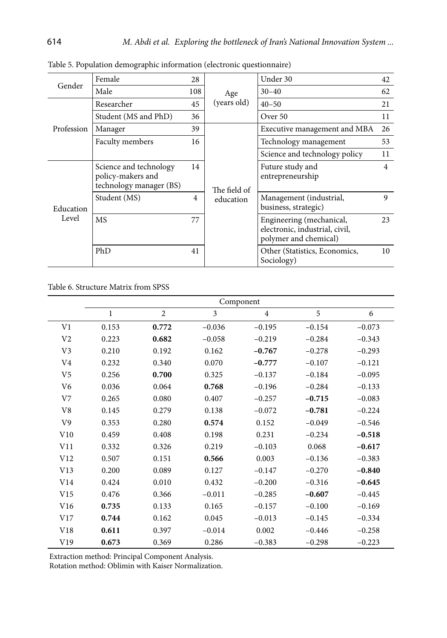| Gender             | Female                                                                 | 28  |              | Under 30                                                                            | 42 |
|--------------------|------------------------------------------------------------------------|-----|--------------|-------------------------------------------------------------------------------------|----|
|                    | Male                                                                   | 108 | Age          | $30 - 40$                                                                           | 62 |
|                    | Researcher                                                             | 45  | (years old)  | $40 - 50$                                                                           | 21 |
|                    | Student (MS and PhD)                                                   | 36  |              | Over 50                                                                             | 11 |
| Profession         | Manager                                                                | 39  |              | Executive management and MBA                                                        | 26 |
|                    | Faculty members                                                        | 16  |              | Technology management                                                               | 53 |
|                    |                                                                        |     |              | Science and technology policy                                                       | 11 |
| Education<br>Level | Science and technology<br>policy-makers and<br>technology manager (BS) | 14  | The field of | Future study and<br>entrepreneurship                                                | 4  |
|                    | Student (MS)                                                           | 4   | education    | Management (industrial,<br>business, strategic)                                     | 9  |
|                    | <b>MS</b>                                                              | 77  |              | Engineering (mechanical,<br>electronic, industrial, civil,<br>polymer and chemical) | 23 |
|                    | PhD                                                                    | 41  |              | Other (Statistics, Economics,<br>Sociology)                                         | 10 |

Table 5. Population demographic information (electronic questionnaire)

Table 6. Structure Matrix from SPSS

|                | Component    |                |          |                |          |          |
|----------------|--------------|----------------|----------|----------------|----------|----------|
|                | $\mathbf{1}$ | $\overline{c}$ | 3        | $\overline{4}$ | 5        | 6        |
| V1             | 0.153        | 0.772          | $-0.036$ | $-0.195$       | $-0.154$ | $-0.073$ |
| V2             | 0.223        | 0.682          | $-0.058$ | $-0.219$       | $-0.284$ | $-0.343$ |
| V3             | 0.210        | 0.192          | 0.162    | $-0.767$       | $-0.278$ | $-0.293$ |
| V4             | 0.232        | 0.340          | 0.070    | $-0.777$       | $-0.107$ | $-0.121$ |
| V5             | 0.256        | 0.700          | 0.325    | $-0.137$       | $-0.184$ | $-0.095$ |
| V6             | 0.036        | 0.064          | 0.768    | $-0.196$       | $-0.284$ | $-0.133$ |
| V <sub>7</sub> | 0.265        | 0.080          | 0.407    | $-0.257$       | $-0.715$ | $-0.083$ |
| V8             | 0.145        | 0.279          | 0.138    | $-0.072$       | $-0.781$ | $-0.224$ |
| V9             | 0.353        | 0.280          | 0.574    | 0.152          | $-0.049$ | $-0.546$ |
| V10            | 0.459        | 0.408          | 0.198    | 0.231          | $-0.234$ | $-0.518$ |
| V11            | 0.332        | 0.326          | 0.219    | $-0.103$       | 0.068    | $-0.617$ |
| V12            | 0.507        | 0.151          | 0.566    | 0.003          | $-0.136$ | $-0.383$ |
| V13            | 0.200        | 0.089          | 0.127    | $-0.147$       | $-0.270$ | $-0.840$ |
| V14            | 0.424        | 0.010          | 0.432    | $-0.200$       | $-0.316$ | $-0.645$ |
| V15            | 0.476        | 0.366          | $-0.011$ | $-0.285$       | $-0.607$ | $-0.445$ |
| V16            | 0.735        | 0.133          | 0.165    | $-0.157$       | $-0.100$ | $-0.169$ |
| V17            | 0.744        | 0.162          | 0.045    | $-0.013$       | $-0.145$ | $-0.334$ |
| V18            | 0.611        | 0.397          | $-0.014$ | 0.002          | $-0.446$ | $-0.258$ |
| V19            | 0.673        | 0.369          | 0.286    | $-0.383$       | $-0.298$ | $-0.223$ |

Extraction method: Principal Component Analysis.

Rotation method: Oblimin with Kaiser Normalization.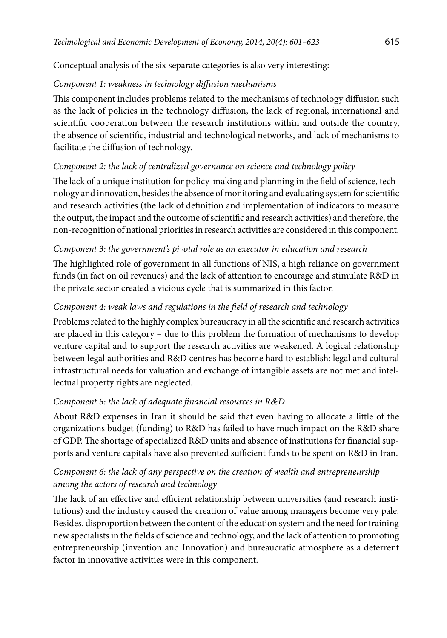Conceptual analysis of the six separate categories is also very interesting:

## *Component 1: weakness in technology diffusion mechanisms*

This component includes problems related to the mechanisms of technology diffusion such as the lack of policies in the technology diffusion, the lack of regional, international and scientific cooperation between the research institutions within and outside the country, the absence of scientific, industrial and technological networks, and lack of mechanisms to facilitate the diffusion of technology.

# *Component 2: the lack of centralized governance on science and technology policy*

The lack of a unique institution for policy-making and planning in the field of science, technology and innovation, besides the absence of monitoring and evaluating system for scientific and research activities (the lack of definition and implementation of indicators to measure the output, the impact and the outcome of scientific and research activities) and therefore, the non-recognition of national priorities in research activities are considered in this component.

## *Component 3: the government's pivotal role as an executor in education and research*

The highlighted role of government in all functions of NIS, a high reliance on government funds (in fact on oil revenues) and the lack of attention to encourage and stimulate R&D in the private sector created a vicious cycle that is summarized in this factor.

# *Component 4: weak laws and regulations in the field of research and technology*

Problems related to the highly complex bureaucracy in all the scientific and research activities are placed in this category – due to this problem the formation of mechanisms to develop venture capital and to support the research activities are weakened. A logical relationship between legal authorities and R&D centres has become hard to establish; legal and cultural infrastructural needs for valuation and exchange of intangible assets are not met and intellectual property rights are neglected.

## *Component 5: the lack of adequate financial resources in R&D*

About R&D expenses in Iran it should be said that even having to allocate a little of the organizations budget (funding) to R&D has failed to have much impact on the R&D share of GDP. The shortage of specialized R&D units and absence of institutions for financial supports and venture capitals have also prevented sufficient funds to be spent on R&D in Iran.

# *Component 6: the lack of any perspective on the creation of wealth and entrepreneurship among the actors of research and technology*

The lack of an effective and efficient relationship between universities (and research institutions) and the industry caused the creation of value among managers become very pale. Besides, disproportion between the content of the education system and the need for training new specialists in the fields of science and technology, and the lack of attention to promoting entrepreneurship (invention and Innovation) and bureaucratic atmosphere as a deterrent factor in innovative activities were in this component.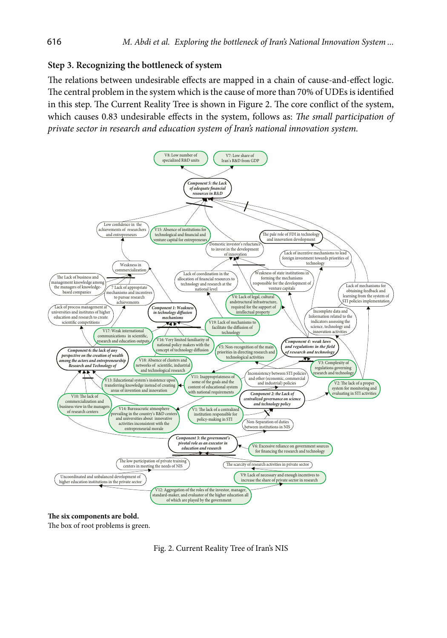### **Step 3. Recognizing the bottleneck of system**

The relations between undesirable effects are mapped in a chain of cause-and-effect logic. The central problem in the system which is the cause of more than 70% of UDEs is identified in this step. The Current Reality Tree is shown in Figure 2. The core conflict of the system, which causes 0.83 undesirable effects in the system, follows as: *The small participation of private sector in research and education system of Iran's national innovation system.*



#### **The six components are bold.**

The box of root problems is green.

Fig. 2. Current Reality Tree of Iran's NIS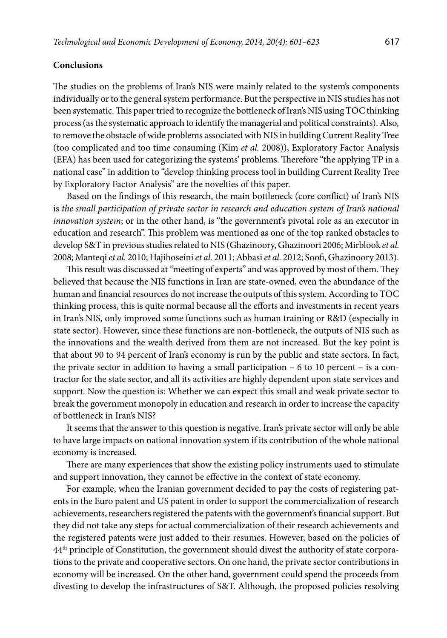### **Conclusions**

The studies on the problems of Iran's NIS were mainly related to the system's components individually or to the general system performance. But the perspective in NIS studies has not been systematic. This paper tried to recognize the bottleneck of Iran's NIS using TOC thinking process (as the systematic approach to identify the managerial and political constraints). Also, to remove the obstacle of wide problems associated with NIS in building Current Reality Tree (too complicated and too time consuming (Kim *et al.* 2008)), Exploratory Factor Analysis (EFA) has been used for categorizing the systems' problems. Therefore "the applying TP in a national case" in addition to "develop thinking process tool in building Current Reality Tree by Exploratory Factor Analysis" are the novelties of this paper.

Based on the findings of this research, the main bottleneck (core conflict) of Iran's NIS is *the small participation of private sector in research and education system of Iran's national innovation system*; or in the other hand, is "the government's pivotal role as an executor in education and research". This problem was mentioned as one of the top ranked obstacles to develop S&T in previous studies related to NIS (Ghazinoory, Ghazinoori 2006; Mirblook *et al.* 2008; Manteqi *et al.* 2010; Hajihoseini *et al.* 2011; Abbasi *et al.* 2012; Soofi, Ghazinoory 2013).

This result was discussed at "meeting of experts" and was approved by most of them. They believed that because the NIS functions in Iran are state-owned, even the abundance of the human and financial resources do not increase the outputs of this system. According to TOC thinking process, this is quite normal because all the efforts and investments in recent years in Iran's NIS, only improved some functions such as human training or R&D (especially in state sector). However, since these functions are non-bottleneck, the outputs of NIS such as the innovations and the wealth derived from them are not increased. But the key point is that about 90 to 94 percent of Iran's economy is run by the public and state sectors. In fact, the private sector in addition to having a small participation  $-6$  to 10 percent  $-$  is a contractor for the state sector, and all its activities are highly dependent upon state services and support. Now the question is: Whether we can expect this small and weak private sector to break the government monopoly in education and research in order to increase the capacity of bottleneck in Iran's NIS?

It seems that the answer to this question is negative. Iran's private sector will only be able to have large impacts on national innovation system if its contribution of the whole national economy is increased.

There are many experiences that show the existing policy instruments used to stimulate and support innovation, they cannot be effective in the context of state economy.

For example, when the Iranian government decided to pay the costs of registering patents in the Euro patent and US patent in order to support the commercialization of research achievements, researchers registered the patents with the government's financial support. But they did not take any steps for actual commercialization of their research achievements and the registered patents were just added to their resumes. However, based on the policies of 44th principle of Constitution, the government should divest the authority of state corporations to the private and cooperative sectors. On one hand, the private sector contributions in economy will be increased. On the other hand, government could spend the proceeds from divesting to develop the infrastructures of S&T. Although, the proposed policies resolving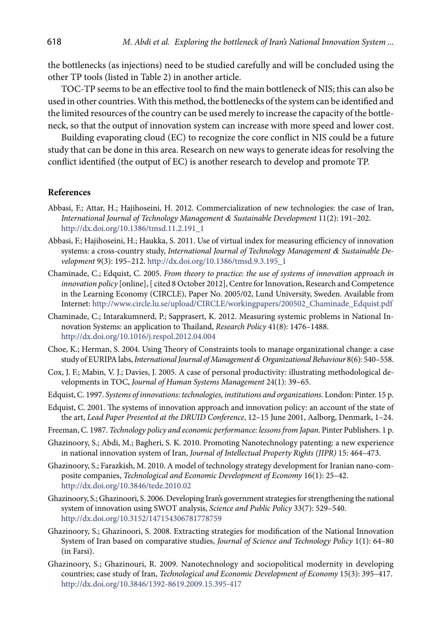the bottlenecks (as injections) need to be studied carefully and will be concluded using the other TP tools (listed in Table 2) in another article.

TOC-TP seems to be an effective tool to find the main bottleneck of NIS; this can also be used in other countries. With this method, the bottlenecks of the system can be identified and the limited resources of the country can be used merely to increase the capacity of the bottleneck, so that the output of innovation system can increase with more speed and lower cost.

Building evaporating cloud (EC) to recognize the core conflict in NIS could be a future study that can be done in this area. Research on new ways to generate ideas for resolving the conflict identified (the output of EC) is another research to develop and promote TP.

### **References**

- Abbasi, F.; Attar, H.; Hajihoseini, H. 2012. Commercialization of new technologies: the case of Iran, *[International Journal of Technology Management](http://www.ingentaconnect.com/content/intellect/tmsd;jsessionid=36ekgsdi9jfjc.victoria) & Sustainable Development* 11(2): 191–202. [http://dx.doi.org/10.1386/tmsd.11.2.191\\_1](http://dx.doi.org/10.1386/tmsd.11.2.191_1)
- Abbasi, F.; Hajihoseini, H.; Haukka, S. 2011. Use of virtual index for measuring efficiency of innovation systems: a cross-country study, *[International Journal of Technology Management](http://www.ingentaconnect.com/content/intellect/tmsd) & Sustainable De[velopment](http://www.ingentaconnect.com/content/intellect/tmsd)* 9(3): 195–212. [http://dx.doi.org/10.1386/tmsd.9.3.195\\_1](http://dx.doi.org/10.1386/tmsd.9.3.195_1)
- Chaminade, C.; Edquist, C. 2005. *From theory to practice: the use of systems of innovation approach in innovation policy* [online], [ cited 8 October 2012], Centre for Innovation, Research and Competence in the Learning Economy (CIRCLE), Paper No. 2005/02, Lund University, Sweden. Available from Internet: [http://www.circle.lu.se/upload/CIRCLE/workingpapers/200502\\_Chaminade\\_Edquist.pdf](http://www.circle.lu.se/upload/CIRCLE/workingpapers/200502_Chaminade_Edquist.pdf)
- Chaminade, C.; Intarakumnerd, P.; Sapprasert, K. 2012. Measuring systemic problems in National Innovation Systems: an application to Thailand, *Research Policy* 41(8): 1476–1488. <http://dx.doi.org/10.1016/j.respol.2012.04.004>
- Choe, K.; Herman, S. 2004. Using Theory of Constraints tools to manage organizational change: a case study of EURIPA labs, *International Journal of Management & Organizational Behaviour* 8(6): 540–558.
- Cox, J. F.; Mabin, V. J.; Davies, J. 2005. A case of personal productivity: illustrating methodological developments in TOC, *Journal of Human Systems Management* 24(1): 39–65.
- Edquist, C. 1997. *Systems of innovations: technologies, institutions and organizations*. London: Pinter. 15 p.
- Edquist, C. 2001. The systems of innovation approach and innovation policy: an account of the state of the art, *Lead Paper Presented at the DRUID Conference*, 12–15 June 2001, Aalborg, Denmark, 1–24.
- Freeman, C. 1987. *Technology policy and economic performance: lessons from Japan*. Pinter Publishers. 1 p.
- Ghazinoory, S.; Abdi, M.; Bagheri, S. K. 2010. Promoting Nanotechnology patenting: a new experience in national innovation system of Iran, *Journal of Intellectual Property Rights (JIPR)* 15: 464–473.
- Ghazinoory, S.; Farazkish, M. 2010. [A model of technology strategy development for Iranian nano-com](http://scholar.google.com/citations?view_op=view_citation&hl=en&user=Qz_uWSwAAAAJ&citation_for_view=Qz_uWSwAAAAJ:u5HHmVD_uO8C)[posite companies](http://scholar.google.com/citations?view_op=view_citation&hl=en&user=Qz_uWSwAAAAJ&citation_for_view=Qz_uWSwAAAAJ:u5HHmVD_uO8C), *Technological and Economic Development of Economy* 16(1): 25–42. <http://dx.doi.org/10.3846/tede.2010.02>
- Ghazinoory, S.; Ghazinoori, S. 2006. [Developing Iran's government strategies for strengthening the national](http://www.ingentaconnect.com/content/beech/spp/2006/00000033/00000007/art00005;jsessionid=22il13g4vhlla.alexandra)  [system of innovation using SWOT analysis,](http://www.ingentaconnect.com/content/beech/spp/2006/00000033/00000007/art00005;jsessionid=22il13g4vhlla.alexandra) *Science and Public Policy* 33(7): 529–540. <http://dx.doi.org/10.3152/147154306781778759>
- Ghazinoory, S.; Ghazinoori, S. 2008. Extracting strategies for modification of the National Innovation System of Iran based on comparative studies, *Journal of Science and Technology Policy* 1(1): 64–80 (in Farsi).
- Ghazinoory, S.; Ghazinouri, R. 2009. [Nanotechnology and sociopolitical modernity in developing](http://scholar.google.com/citations?view_op=view_citation&hl=en&user=c8sKB5kAAAAJ&citation_for_view=c8sKB5kAAAAJ:zYLM7Y9cAGgC)  [countries; case study of Iran,](http://scholar.google.com/citations?view_op=view_citation&hl=en&user=c8sKB5kAAAAJ&citation_for_view=c8sKB5kAAAAJ:zYLM7Y9cAGgC) *Technological and Economic Development of Economy* 15(3): 395–417. <http://dx.doi.org/10.3846/1392-8619.2009.15.395-417>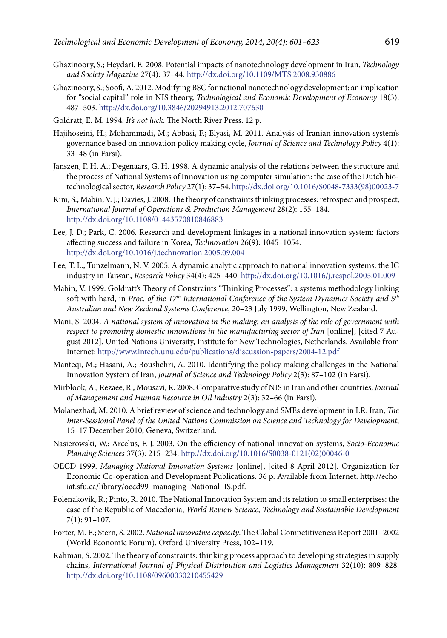- Ghazinoory, S.; Heydari, E. 2008. [Potential impacts of nanotechnology development in Iran](http://scholar.google.com/citations?view_op=view_citation&hl=en&user=c8sKB5kAAAAJ&citation_for_view=c8sKB5kAAAAJ:UeHWp8X0CEIC), *Technology and Society Magazine* 27(4): 37–44.<http://dx.doi.org/10.1109/MTS.2008.930886>
- Ghazinoory, S.; Soofi, A. 2012. Modifying BSC for national nanotechnology development: an implication for "social capital" role in NIS theory, *Technological and Economic Development of Economy* 18(3): 487–503. <http://dx.doi.org/10.3846/20294913.2012.707630>
- [Goldratt](http://www.amazon.com/Eliyahu-M.-Goldratt/e/B000APWH4C/ref=ntt_athr_dp_pel_1), E. M. 1994. *It's not luck*. The North River Press. 12 p.
- Hajihoseini, H.; Mohammadi, M.; Abbasi, F.; Elyasi, M. 2011. Analysis of Iranian innovation system's governance based on innovation policy making cycle, *Journal of Science and Technology Policy* 4(1): 33–48 (in Farsi).
- Janszen, F. H. A.; Degenaars, G. H. 1998. A dynamic analysis of the relations between the structure and the process of National Systems of Innovation using computer simulation: the case of the Dutch biotechnological sector, *[Research Policy](http://www.sciencedirect.com/science/journal/00487333)* 27(1): 37–54. [http://dx.doi.org/10.1016/S0048-7333\(98\)00023-7](http://dx.doi.org/10.1016/S0048-7333(98)00023-7)
- Kim, S.; Mabin, V. J.; Davies, J. 2008. The theory of constraints thinking processes: retrospect and prospect, *International Journal of Operations & Production Management* 28(2): 155–184. <http://dx.doi.org/10.1108/01443570810846883>
- Lee, J. D.; Park, C. 2006. Research and development linkages in a national innovation system: factors affecting success and failure in Korea, *Technovation* 26(9): 1045–1054. <http://dx.doi.org/10.1016/j.technovation.2005.09.004>
- Lee, T. L.; Tunzelmann, N. V. 2005. A dynamic analytic approach to national innovation systems: the IC industry in Taiwan, *[Research Policy](http://www.sciencedirect.com/science/journal/00487333)* [34\(4\):](http://www.sciencedirect.com/science?_ob=PublicationURL&_tockey=%23TOC%235835%232005%23999659995%23596202%23FLA%23&_cdi=5835&_pubType=J&view=c&_auth=y&_acct=C000050221&_version=1&_urlVersion=0&_userid=10&md5=98ce813e8ef6642c70532f0f44189aad) 425–440. <http://dx.doi.org/10.1016/j.respol.2005.01.009>
- Mabin, V. 1999. Goldratt's Theory of Constraints "Thinking Processes": a systems methodology linking soft with hard, in *Proc. of the 17th International Conference of the System Dynamics Society and 5th Australian and New Zealand Systems Conference*, 20–23 July 1999, Wellington, New Zealand.
- Mani, S. 2004. *A national system of innovation in the making: an analysis of the role of government with respect to promoting domestic innovations in the manufacturing sector of Iran* [online], [cited 7 August 2012]. United Nations University, Institute for New Technologies, Netherlands. Available from Internet:<http://www.intech.unu.edu/publications/discussion-papers/2004-12.pdf>
- Manteqi, M.; Hasani, A.; Boushehri, A. 2010. Identifying the policy making challenges in the National Innovation System of Iran, *Journal of Science and Technology Policy* 2(3): 87–102 (in Farsi).
- Mirblook, A.; Rezaee, R.; Mousavi, R. 2008. Comparative study of NIS in Iran and other countries, *Journal of Management and Human Resource in Oil Industry* 2(3): 32–66 (in Farsi).
- Molanezhad, M. 2010. A brief review of science and technology and SMEs development in I.R. Iran, *The Inter-Sessional Panel of the United Nations Commission on Science and Technology for Development*, 15–17 December 2010, Geneva, Switzerland.
- Nasierowski, W.; Arcelus, F. J. 2003. On the efficiency of national innovation systems, *[Socio-Economic](http://www.sciencedirect.com/science/journal/00380121) [Planning Sciences](http://www.sciencedirect.com/science/journal/00380121)* 37(3): 215–234. [http://dx.doi.org/10.1016/S0038-0121\(02\)00046-0](http://dx.doi.org/10.1016/S0038-0121(02)00046-0)
- OECD 1999. *Managing National Innovation Systems* [online], [cited 8 April 2012]*.* Organization for Economic Co-operation and Development Publications. 36 p. Available from Internet: http://echo. iat.sfu.ca/library/oecd99\_managing\_National\_IS.pdf.
- Polenakovik, R.; Pinto, R. 2010. The National Innovation System and its relation to small enterprises: the case of the Republic of Macedonia, *World Review Science, Technology and Sustainable Development* 7(1): 91–107.
- Porter, M. E.; Stern, S. 2002. *National innovative capacity*. The Global Competitiveness Report 2001–2002 (World Economic Forum). Oxford University Press, 102–119.
- Rahman, S. 2002. The theory of constraints: thinking process approach to developing strategies in supply chains, *International Journal of Physical Distribution and Logistics Management* 32(10): 809–828. <http://dx.doi.org/10.1108/09600030210455429>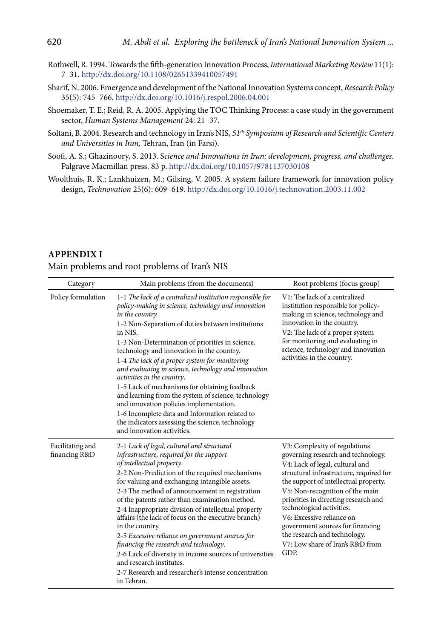- Rothwell, R. 1994. Towards the fifth-generation Innovation Process, *International Marketing Review* 11(1): 7–31. <http://dx.doi.org/10.1108/02651339410057491>
- Sharif, N. 2006. Emergence and development of the National Innovation Systems concept, *[Research Policy](http://www.sciencedirect.com/science/journal/00487333)* [35\(5](http://www.sciencedirect.com/science?_ob=PublicationURL&_tockey=%23TOC%235835%232006%23999649994%23624026%23FLA%23&_cdi=5835&_pubType=J&view=c&_auth=y&_acct=C000050221&_version=1&_urlVersion=0&_userid=10&md5=05f78151d27b22079604193555097e70)): 745–766.<http://dx.doi.org/10.1016/j.respol.2006.04.001>
- Shoemaker, T. E.; Reid, R. A. 2005. Applying the TOC Thinking Process: a case study in the government sector, *Human Systems Management* 24: 21–37.
- Soltani, B. 2004. Research and technology in Iran's NIS, *51th Symposium of Research and Scientific Centers and Universities in Iran,* Tehran, Iran (in Farsi).
- Soofi, A. S.; Ghazinoory, S. 2013. S*cience and Innovations in Iran: development, progress, and challenges*. Palgrave Macmillan press. 83 p.<http://dx.doi.org/10.1057/9781137030108>
- Woolthuis, R. K.; Lankhuizen, M.; Gilsing, V. 2005. A system failure framework for innovation policy design, *Technovation* 25(6): 609–619. <http://dx.doi.org/10.1016/j.technovation.2003.11.002>

### **Appendix I**

#### Main problems and root problems of Iran's NIS

| Category                          | Main problems (from the documents)                                                                                                                                                                                                                                                                                                                                                                                                                                                                                                                                                                                                                                                                                                        | Root problems (focus group)                                                                                                                                                                                                                                                                                                                                                                                                                     |
|-----------------------------------|-------------------------------------------------------------------------------------------------------------------------------------------------------------------------------------------------------------------------------------------------------------------------------------------------------------------------------------------------------------------------------------------------------------------------------------------------------------------------------------------------------------------------------------------------------------------------------------------------------------------------------------------------------------------------------------------------------------------------------------------|-------------------------------------------------------------------------------------------------------------------------------------------------------------------------------------------------------------------------------------------------------------------------------------------------------------------------------------------------------------------------------------------------------------------------------------------------|
| Policy formulation                | 1-1 The lack of a centralized institution responsible for<br>policy-making in science, technology and innovation<br>in the country.<br>1-2 Non-Separation of duties between institutions<br>in NIS.<br>1-3 Non-Determination of priorities in science,<br>technology and innovation in the country.<br>1-4 The lack of a proper system for monitoring<br>and evaluating in science, technology and innovation<br><i>activities in the country.</i><br>1-5 Lack of mechanisms for obtaining feedback<br>and learning from the system of science, technology<br>and innovation policies implementation.<br>1-6 Incomplete data and Information related to<br>the indicators assessing the science, technology<br>and innovation activities. | V1: The lack of a centralized<br>institution responsible for policy-<br>making in science, technology and<br>innovation in the country.<br>V2: The lack of a proper system<br>for monitoring and evaluating in<br>science, technology and innovation<br>activities in the country.                                                                                                                                                              |
| Facilitating and<br>financing R&D | 2-1 Lack of legal, cultural and structural<br>infrastructure, required for the support<br>of intellectual property.<br>2-2 Non-Prediction of the required mechanisms<br>for valuing and exchanging intangible assets.<br>2-3 The method of announcement in registration<br>of the patents rather than examination method.<br>2-4 Inappropriate division of intellectual property<br>affairs (the lack of focus on the executive branch)<br>in the country.<br>2-5 Excessive reliance on government sources for<br>financing the research and technology.<br>2-6 Lack of diversity in income sources of universities<br>and research institutes.<br>2-7 Research and researcher's intense concentration<br>in Tehran.                      | V3: Complexity of regulations<br>governing research and technology.<br>V4: Lack of legal, cultural and<br>structural infrastructure, required for<br>the support of intellectual property.<br>V5: Non-recognition of the main<br>priorities in directing research and<br>technological activities.<br>V6: Excessive reliance on<br>government sources for financing<br>the research and technology.<br>V7: Low share of Iran's R&D from<br>GDP. |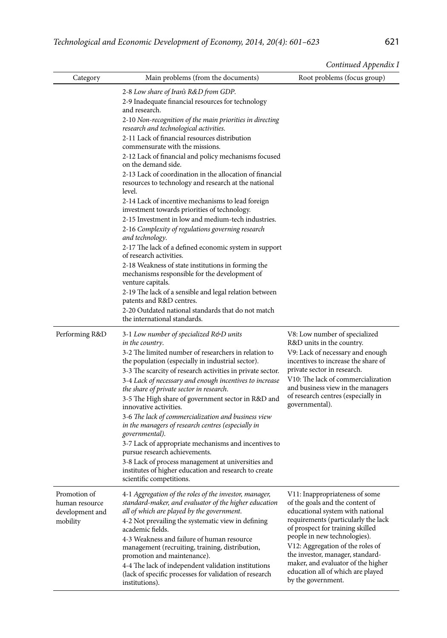| Continued Appendix I |
|----------------------|

| Category                                          | Main problems (from the documents)                                                                                                                                                                     | Root problems (focus group)                                                                                                                                                                                           |  |
|---------------------------------------------------|--------------------------------------------------------------------------------------------------------------------------------------------------------------------------------------------------------|-----------------------------------------------------------------------------------------------------------------------------------------------------------------------------------------------------------------------|--|
|                                                   | 2-8 Low share of Iran's R&D from GDP.<br>2-9 Inadequate financial resources for technology<br>and research.                                                                                            |                                                                                                                                                                                                                       |  |
|                                                   | 2-10 Non-recognition of the main priorities in directing<br>research and technological activities.                                                                                                     |                                                                                                                                                                                                                       |  |
|                                                   | 2-11 Lack of financial resources distribution<br>commensurate with the missions.<br>2-12 Lack of financial and policy mechanisms focused<br>on the demand side.                                        |                                                                                                                                                                                                                       |  |
|                                                   | 2-13 Lack of coordination in the allocation of financial<br>resources to technology and research at the national<br>level.                                                                             |                                                                                                                                                                                                                       |  |
|                                                   | 2-14 Lack of incentive mechanisms to lead foreign<br>investment towards priorities of technology.                                                                                                      |                                                                                                                                                                                                                       |  |
|                                                   | 2-15 Investment in low and medium-tech industries.                                                                                                                                                     |                                                                                                                                                                                                                       |  |
|                                                   | 2-16 Complexity of regulations governing research<br>and technology.                                                                                                                                   |                                                                                                                                                                                                                       |  |
|                                                   | 2-17 The lack of a defined economic system in support<br>of research activities.                                                                                                                       |                                                                                                                                                                                                                       |  |
|                                                   | 2-18 Weakness of state institutions in forming the<br>mechanisms responsible for the development of<br>venture capitals.                                                                               |                                                                                                                                                                                                                       |  |
|                                                   | 2-19 The lack of a sensible and legal relation between<br>patents and R&D centres.                                                                                                                     |                                                                                                                                                                                                                       |  |
|                                                   | 2-20 Outdated national standards that do not match<br>the international standards.                                                                                                                     |                                                                                                                                                                                                                       |  |
| Performing R&D                                    | 3-1 Low number of specialized R&D units<br>in the country.<br>3-2 The limited number of researchers in relation to                                                                                     | V8: Low number of specialized<br>R&D units in the country.<br>V9: Lack of necessary and enough                                                                                                                        |  |
|                                                   | the population (especially in industrial sector).<br>3-3 The scarcity of research activities in private sector.                                                                                        | incentives to increase the share of<br>private sector in research.                                                                                                                                                    |  |
|                                                   | 3-4 Lack of necessary and enough incentives to increase<br>the share of private sector in research.<br>3-5 The High share of government sector in R&D and                                              | V10: The lack of commercialization<br>and business view in the managers<br>of research centres (especially in                                                                                                         |  |
|                                                   | innovative activities.<br>3-6 The lack of commercialization and business view<br>in the managers of research centres (especially in<br>governmental).                                                  | governmental).                                                                                                                                                                                                        |  |
|                                                   | 3-7 Lack of appropriate mechanisms and incentives to<br>pursue research achievements.                                                                                                                  |                                                                                                                                                                                                                       |  |
|                                                   | 3-8 Lack of process management at universities and<br>institutes of higher education and research to create<br>scientific competitions.                                                                |                                                                                                                                                                                                                       |  |
| Promotion of<br>human resource<br>development and | 4-1 Aggregation of the roles of the investor, manager,<br>standard-maker, and evaluator of the higher education<br>all of which are played by the government.                                          | V11: Inappropriateness of some<br>of the goals and the content of<br>educational system with national                                                                                                                 |  |
| mobility                                          | 4-2 Not prevailing the systematic view in defining<br>academic fields.<br>4-3 Weakness and failure of human resource<br>management (recruiting, training, distribution,<br>promotion and maintenance). | requirements (particularly the lack<br>of prospect for training skilled<br>people in new technologies).<br>V12: Aggregation of the roles of<br>the investor, manager, standard-<br>maker, and evaluator of the higher |  |
|                                                   | 4-4 The lack of independent validation institutions<br>(lack of specific processes for validation of research<br>institutions).                                                                        | education all of which are played<br>by the government.                                                                                                                                                               |  |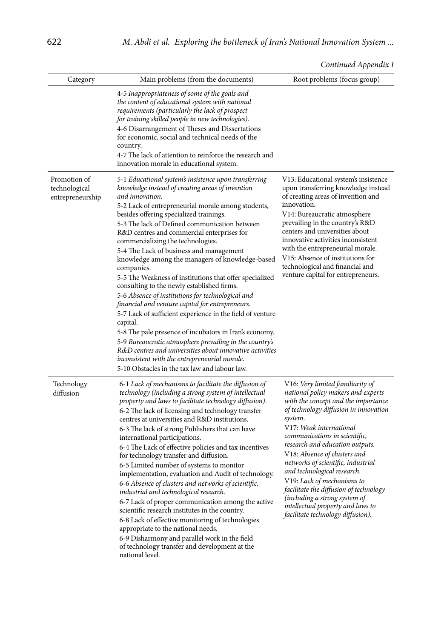| Continued Appendix I |  |
|----------------------|--|

| Category                                          | Main problems (from the documents)                                                                                                                                                                                                                                                                                                                                                                                                                                                                                                                                                                                                                                                                                                                                                                                                                                                                                                                                                                                                                          | Root problems (focus group)                                                                                                                                                                                                                                                                                                                                                                                                                                                                                                                                     |
|---------------------------------------------------|-------------------------------------------------------------------------------------------------------------------------------------------------------------------------------------------------------------------------------------------------------------------------------------------------------------------------------------------------------------------------------------------------------------------------------------------------------------------------------------------------------------------------------------------------------------------------------------------------------------------------------------------------------------------------------------------------------------------------------------------------------------------------------------------------------------------------------------------------------------------------------------------------------------------------------------------------------------------------------------------------------------------------------------------------------------|-----------------------------------------------------------------------------------------------------------------------------------------------------------------------------------------------------------------------------------------------------------------------------------------------------------------------------------------------------------------------------------------------------------------------------------------------------------------------------------------------------------------------------------------------------------------|
|                                                   | 4-5 Inappropriateness of some of the goals and<br>the content of educational system with national<br>requirements (particularly the lack of prospect<br>for training skilled people in new technologies).<br>4-6 Disarrangement of Theses and Dissertations<br>for economic, social and technical needs of the<br>country.<br>4-7 The lack of attention to reinforce the research and<br>innovation morale in educational system.                                                                                                                                                                                                                                                                                                                                                                                                                                                                                                                                                                                                                           |                                                                                                                                                                                                                                                                                                                                                                                                                                                                                                                                                                 |
| Promotion of<br>technological<br>entrepreneurship | 5-1 Educational system's insistence upon transferring<br>knowledge instead of creating areas of invention<br>and innovation.<br>5-2 Lack of entrepreneurial morale among students,<br>besides offering specialized trainings.<br>5-3 The lack of Defined communication between<br>R&D centres and commercial enterprises for<br>commercializing the technologies.<br>5-4 The Lack of business and management<br>knowledge among the managers of knowledge-based<br>companies.<br>5-5 The Weakness of institutions that offer specialized<br>consulting to the newly established firms.<br>5-6 Absence of institutions for technological and<br>financial and venture capital for entrepreneurs.<br>5-7 Lack of sufficient experience in the field of venture<br>capital.<br>5-8 The pale presence of incubators in Iran's economy.<br>5-9 Bureaucratic atmosphere prevailing in the country's<br>R&D centres and universities about innovative activities<br>inconsistent with the entrepreneurial morale.<br>5-10 Obstacles in the tax law and labour law. | V13: Educational system's insistence<br>upon transferring knowledge instead<br>of creating areas of invention and<br>innovation.<br>V14: Bureaucratic atmosphere<br>prevailing in the country's R&D<br>centers and universities about<br>innovative activities inconsistent<br>with the entrepreneurial morale.<br>V15: Absence of institutions for<br>technological and financial and<br>venture capital for entrepreneurs.                                                                                                                                    |
| Technology<br>diffusion                           | 6-1 Lack of mechanisms to facilitate the diffusion of<br>technology (including a strong system of intellectual<br>property and laws to facilitate technology diffusion).<br>6-2 The lack of licensing and technology transfer<br>centres at universities and R&D institutions.<br>6-3 The lack of strong Publishers that can have<br>international participations.<br>6-4 The Lack of effective policies and tax incentives<br>for technology transfer and diffusion.<br>6-5 Limited number of systems to monitor<br>implementation, evaluation and Audit of technology.<br>6-6 Absence of clusters and networks of scientific,<br>industrial and technological research.<br>6-7 Lack of proper communication among the active<br>scientific research institutes in the country.<br>6-8 Lack of effective monitoring of technologies<br>appropriate to the national needs.<br>6-9 Disharmony and parallel work in the field<br>of technology transfer and development at the<br>national level.                                                             | V16: Very limited familiarity of<br>national policy makers and experts<br>with the concept and the importance<br>of technology diffusion in innovation<br>system.<br>V17: Weak international<br>communications in scientific,<br>research and education outputs.<br>V18: Absence of clusters and<br>networks of scientific, industrial<br>and technological research.<br>V19: Lack of mechanisms to<br>facilitate the diffusion of technology<br><i>(including a strong system of</i><br>intellectual property and laws to<br>facilitate technology diffusion). |